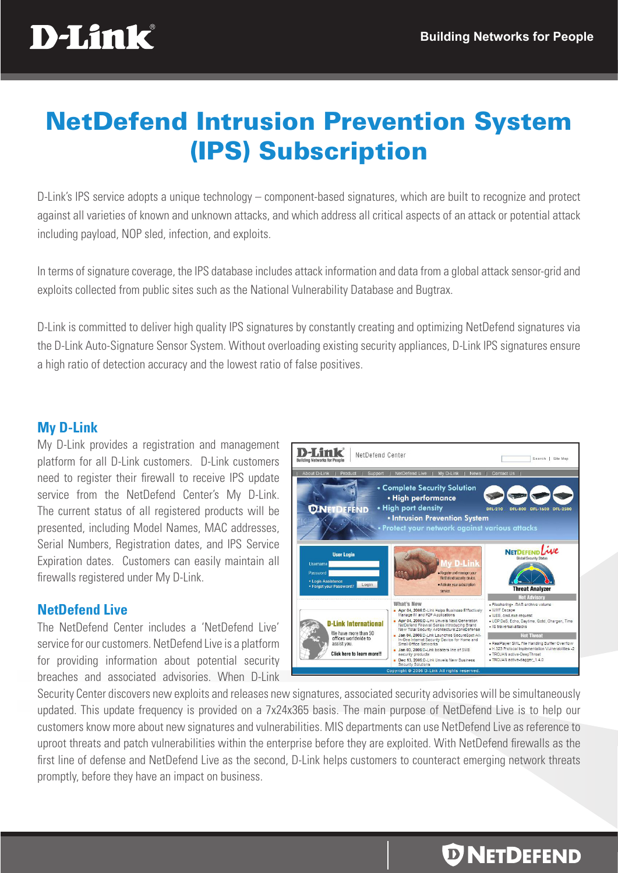

# NetDefend Intrusion Prevention System (IPS) Subscription

D-Link's IPS service adopts a unique technology – component-based signatures, which are built to recognize and protect against all varieties of known and unknown attacks, and which address all critical aspects of an attack or potential attack including payload, NOP sled, infection, and exploits.

In terms of signature coverage, the IPS database includes attack information and data from a global attack sensor-grid and exploits collected from public sites such as the National Vulnerability Database and Bugtrax.

D-Link is committed to deliver high quality IPS signatures by constantly creating and optimizing NetDefend signatures via the D-Link Auto-Signature Sensor System. Without overloading existing security appliances, D-Link IPS signatures ensure a high ratio of detection accuracy and the lowest ratio of false positives.

## **My D-Link**

My D-Link provides a registration and management platform for all D-Link customers. D-Link customers need to register their firewall to receive IPS update service from the NetDefend Center's My D-Link. The current status of all registered products will be presented, including Model Names, MAC addresses, Serial Numbers, Registration dates, and IPS Service Expiration dates. Customers can easily maintain all firewalls registered under My D-Link.

# **NetDefend Live**

The NetDefend Center includes a 'NetDefend Live' service for our customers. NetDefend Live is a platform for providing information about potential security breaches and associated advisories. When D-Link



Security Center discovers new exploits and releases new signatures, associated security advisories will be simultaneously updated. This update frequency is provided on a 7x24x365 basis. The main purpose of NetDefend Live is to help our customers know more about new signatures and vulnerabilities. MIS departments can use NetDefend Live as reference to uproot threats and patch vulnerabilities within the enterprise before they are exploited. With NetDefend firewalls as the first line of defense and NetDefend Live as the second, D-Link helps customers to counteract emerging network threats promptly, before they have an impact on business.

# *D* NETDEFEND